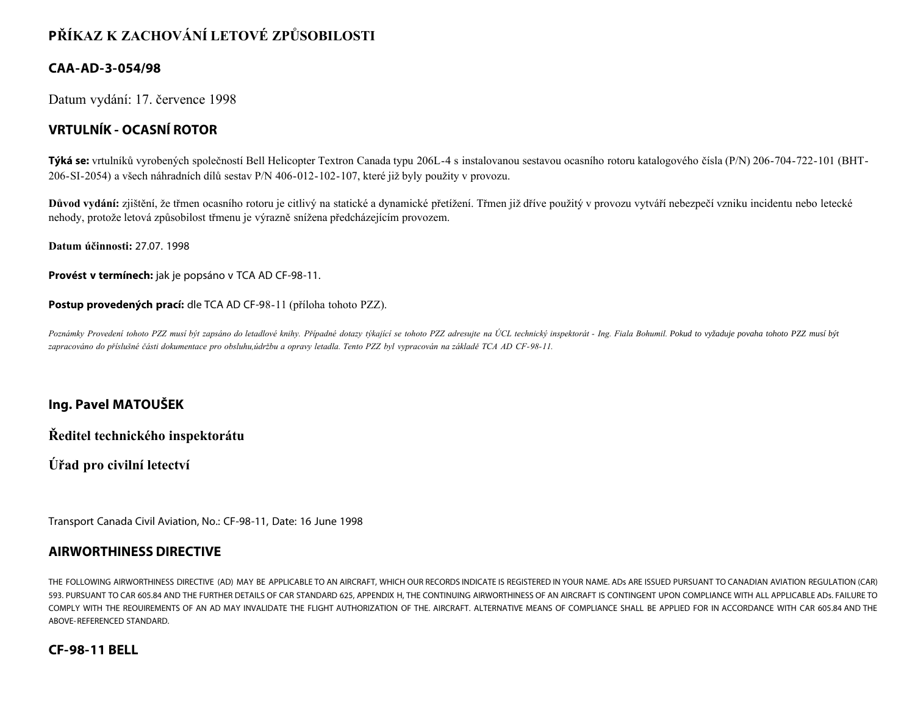# **PŘÍKAZ K ZACHOVÁNÍ LETOVÉ ZPŮSOBILOSTI**

### **CAA-AD-3-054/98**

Datum vydání: 17. července 1998

## **VRTULNÍK - OCASNÍ ROTOR**

**Týká se:** vrtulníků vyrobených společností Bell Helicopter Textron Canada typu 206L-4 s instalovanou sestavou ocasního rotoru katalogového čísla (P/N) 206-704-722-101 (BHT-206-SI-2054) a všech náhradních dílů sestav P/N 406-012-102-107, které již byly použity v provozu.

**Důvod vydání:** zjištění, že třmen ocasního rotoru je citlivý na statické a dynamické přetížení. Třmen již dříve použitý v provozu vytváří nebezpečí vzniku incidentu nebo letecké nehody, protože letová způsobilost třmenu je výrazně snížena předcházejícím provozem.

**Datum účinnosti:** 27.07. 1998

**Provést v termínech:** jak je popsáno v TCA AD CF-98-11.

**Postup provedených prací:** dle TCA AD CF-98-11 (příloha tohoto PZZ).

Poznámky Provedení tohoto PZZ musí být zapsáno do letadlové knihy. Případné dotazy týkající se tohoto PZZ adresujte na ÚCL technický inspektorát - Ing. Fiala Bohumil. Pokud to vyžaduje povaha tohoto PZZ musí být *zapracováno do příslušné části dokumentace pro obsluhu,údržbu a opravy letadla. Tento PZZ byl vypracován na základě TCA AD CF-98-11.*

#### **Ing. Pavel MATOUŠEK**

**Ředitel technického inspektorátu**

**Úřad pro civilní letectví**

Transport Canada Civil Aviation, No.: CF-98-11, Date: 16 June 1998

#### **AIRWORTHINESS DIRECTIVE**

THE FOLLOWING AIRWORTHINESS DIRECTIVE (AD) MAY BE APPLICABLE TO AN AIRCRAFT, WHICH OUR RECORDS INDICATE IS REGISTERED IN YOUR NAME. ADs ARE ISSUED PURSUANT TO CANADIAN AVIATION REGULATION (CAR) 593. PURSUANT TO CAR 605.84 AND THE FURTHER DETAILS OF CAR STANDARD 625, APPENDIX H, THE CONTINUING AIRWORTHINESS OF AN AIRCRAFT IS CONTINGENT UPON COMPLIANCE WITH ALL APPLICABLE ADs. FAILURE TO COMPLY WITH THE REOUIREMENTS OF AN AD MAY INVALIDATE THE FLIGHT AUTHORIZATION OF THE. AIRCRAFT. ALTERNATIVE MEANS OF COMPLIANCE SHALL BE APPLIED FOR IN ACCORDANCE WITH CAR 605.84 AND THE ABOVE-REFERENCED STANDARD.

#### **CF-98-11 BELL**